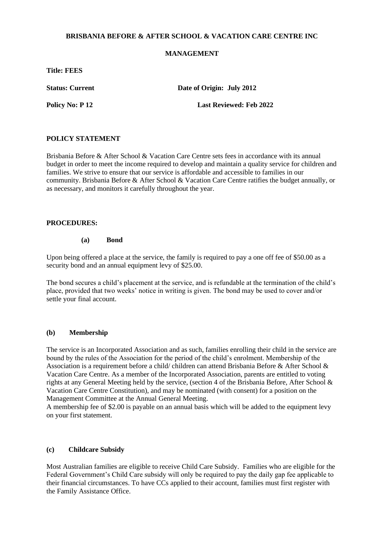### **BRISBANIA BEFORE & AFTER SCHOOL & VACATION CARE CENTRE INC**

## **MANAGEMENT**

**Title: FEES**

**Status: Current Date of Origin: July 2012** 

**Policy No: P 12** Last Reviewed: Feb 2022

### **POLICY STATEMENT**

Brisbania Before & After School & Vacation Care Centre sets fees in accordance with its annual budget in order to meet the income required to develop and maintain a quality service for children and families. We strive to ensure that our service is affordable and accessible to families in our community. Brisbania Before & After School & Vacation Care Centre ratifies the budget annually, or as necessary, and monitors it carefully throughout the year.

### **PROCEDURES:**

#### **(a) Bond**

Upon being offered a place at the service, the family is required to pay a one off fee of \$50.00 as a security bond and an annual equipment levy of \$25.00.

The bond secures a child's placement at the service, and is refundable at the termination of the child's place, provided that two weeks' notice in writing is given. The bond may be used to cover and/or settle your final account.

#### **(b) Membership**

The service is an Incorporated Association and as such, families enrolling their child in the service are bound by the rules of the Association for the period of the child's enrolment. Membership of the Association is a requirement before a child/ children can attend Brisbania Before & After School & Vacation Care Centre. As a member of the Incorporated Association, parents are entitled to voting rights at any General Meeting held by the service, (section 4 of the Brisbania Before, After School & Vacation Care Centre Constitution), and may be nominated (with consent) for a position on the Management Committee at the Annual General Meeting.

A membership fee of \$2.00 is payable on an annual basis which will be added to the equipment levy on your first statement.

#### **(c) Childcare Subsidy**

Most Australian families are eligible to receive Child Care Subsidy. Families who are eligible for the Federal Government's Child Care subsidy will only be required to pay the daily gap fee applicable to their financial circumstances. To have CCs applied to their account, families must first register with the Family Assistance Office.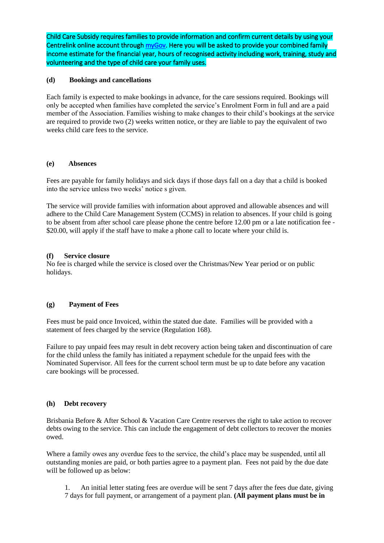Child Care Subsidy requires families to provide information and confirm current details by using your Centrelink online account throug[h myGov.](https://my.gov.au/LoginServices/main/login?execution=e2s1) Here you will be asked to provide your combined family income estimate for the financial year, hours of recognised activity including work, training, study and volunteering and the type of child care your family uses.

## **(d) Bookings and cancellations**

Each family is expected to make bookings in advance, for the care sessions required. Bookings will only be accepted when families have completed the service's Enrolment Form in full and are a paid member of the Association. Families wishing to make changes to their child's bookings at the service are required to provide two (2) weeks written notice, or they are liable to pay the equivalent of two weeks child care fees to the service.

#### **(e) Absences**

Fees are payable for family holidays and sick days if those days fall on a day that a child is booked into the service unless two weeks' notice s given.

The service will provide families with information about approved and allowable absences and will adhere to the Child Care Management System (CCMS) in relation to absences. If your child is going to be absent from after school care please phone the centre before 12.00 pm or a late notification fee - \$20.00, will apply if the staff have to make a phone call to locate where your child is.

## **(f) Service closure**

No fee is charged while the service is closed over the Christmas/New Year period or on public holidays.

# **(g) Payment of Fees**

Fees must be paid once Invoiced, within the stated due date. Families will be provided with a statement of fees charged by the service (Regulation 168).

Failure to pay unpaid fees may result in debt recovery action being taken and discontinuation of care for the child unless the family has initiated a repayment schedule for the unpaid fees with the Nominated Supervisor. All fees for the current school term must be up to date before any vacation care bookings will be processed.

#### **(h) Debt recovery**

Brisbania Before & After School & Vacation Care Centre reserves the right to take action to recover debts owing to the service. This can include the engagement of debt collectors to recover the monies owed.

Where a family owes any overdue fees to the service, the child's place may be suspended, until all outstanding monies are paid, or both parties agree to a payment plan. Fees not paid by the due date will be followed up as below:

- 1. An initial letter stating fees are overdue will be sent 7 days after the fees due date, giving
- 7 days for full payment, or arrangement of a payment plan. **(All payment plans must be in**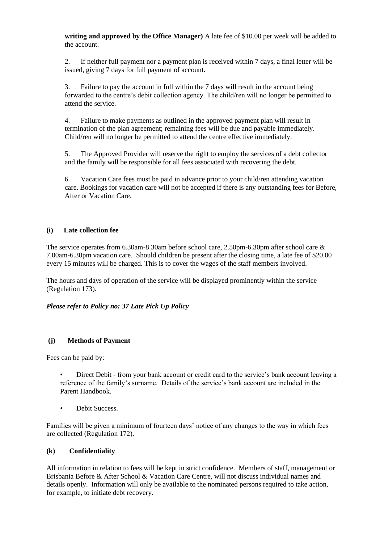**writing and approved by the Office Manager)** A late fee of \$10.00 per week will be added to the account.

2. If neither full payment nor a payment plan is received within 7 days, a final letter will be issued, giving 7 days for full payment of account.

3. Failure to pay the account in full within the 7 days will result in the account being forwarded to the centre's debit collection agency. The child/ren will no longer be permitted to attend the service.

4. Failure to make payments as outlined in the approved payment plan will result in termination of the plan agreement; remaining fees will be due and payable immediately. Child/ren will no longer be permitted to attend the centre effective immediately.

5. The Approved Provider will reserve the right to employ the services of a debt collector and the family will be responsible for all fees associated with recovering the debt.

6. Vacation Care fees must be paid in advance prior to your child/ren attending vacation care. Bookings for vacation care will not be accepted if there is any outstanding fees for Before, After or Vacation Care.

## **(i) Late collection fee**

The service operates from 6.30am-8.30am before school care, 2.50pm-6.30pm after school care & 7.00am-6.30pm vacation care. Should children be present after the closing time, a late fee of \$20.00 every 15 minutes will be charged. This is to cover the wages of the staff members involved.

The hours and days of operation of the service will be displayed prominently within the service (Regulation 173).

*Please refer to Policy no: 37 Late Pick Up Policy*

# **(j) Methods of Payment**

Fees can be paid by:

- Direct Debit from your bank account or credit card to the service's bank account leaving a reference of the family's surname. Details of the service's bank account are included in the Parent Handbook.
- Debit Success.

Families will be given a minimum of fourteen days' notice of any changes to the way in which fees are collected (Regulation 172).

#### **(k) Confidentiality**

All information in relation to fees will be kept in strict confidence. Members of staff, management or Brisbania Before & After School & Vacation Care Centre, will not discuss individual names and details openly. Information will only be available to the nominated persons required to take action, for example, to initiate debt recovery.